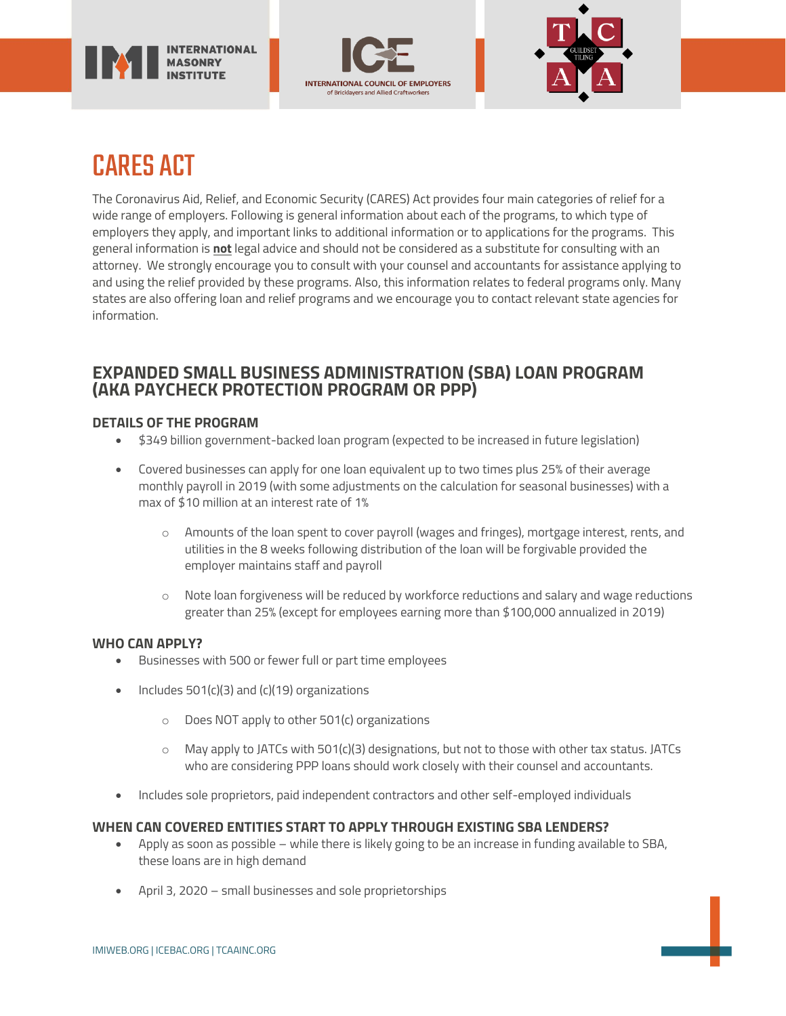





# CARES ACT

The Coronavirus Aid, Relief, and Economic Security (CARES) Act provides four main categories of relief for a wide range of employers. Following is general information about each of the programs, to which type of employers they apply, and important links to additional information or to applications for the programs. This general information is **not** legal advice and should not be considered as a substitute for consulting with an attorney. We strongly encourage you to consult with your counsel and accountants for assistance applying to and using the relief provided by these programs. Also, this information relates to federal programs only. Many states are also offering loan and relief programs and we encourage you to contact relevant state agencies for information.

# **EXPANDED SMALL BUSINESS ADMINISTRATION (SBA) LOAN PROGRAM (AKA PAYCHECK PROTECTION PROGRAM OR PPP)**

# **DETAILS OF THE PROGRAM**

- \$349 billion government-backed loan program (expected to be increased in future legislation)
- Covered businesses can apply for one loan equivalent up to two times plus 25% of their average monthly payroll in 2019 (with some adjustments on the calculation for seasonal businesses) with a max of \$10 million at an interest rate of 1%
	- o Amounts of the loan spent to cover payroll (wages and fringes), mortgage interest, rents, and utilities in the 8 weeks following distribution of the loan will be forgivable provided the employer maintains staff and payroll
	- $\circ$  Note loan forgiveness will be reduced by workforce reductions and salary and wage reductions greater than 25% (except for employees earning more than \$100,000 annualized in 2019)

# **WHO CAN APPLY?**

- Businesses with 500 or fewer full or part time employees
- Includes  $501(c)(3)$  and  $(c)(19)$  organizations
	- o Does NOT apply to other 501(c) organizations
	- $\circ$  May apply to JATCs with 501(c)(3) designations, but not to those with other tax status. JATCs who are considering PPP loans should work closely with their counsel and accountants.
- Includes sole proprietors, paid independent contractors and other self-employed individuals

## **WHEN CAN COVERED ENTITIES START TO APPLY THROUGH EXISTING SBA LENDERS?**

- Apply as soon as possible while there is likely going to be an increase in funding available to SBA, these loans are in high demand
- April 3, 2020 small businesses and sole proprietorships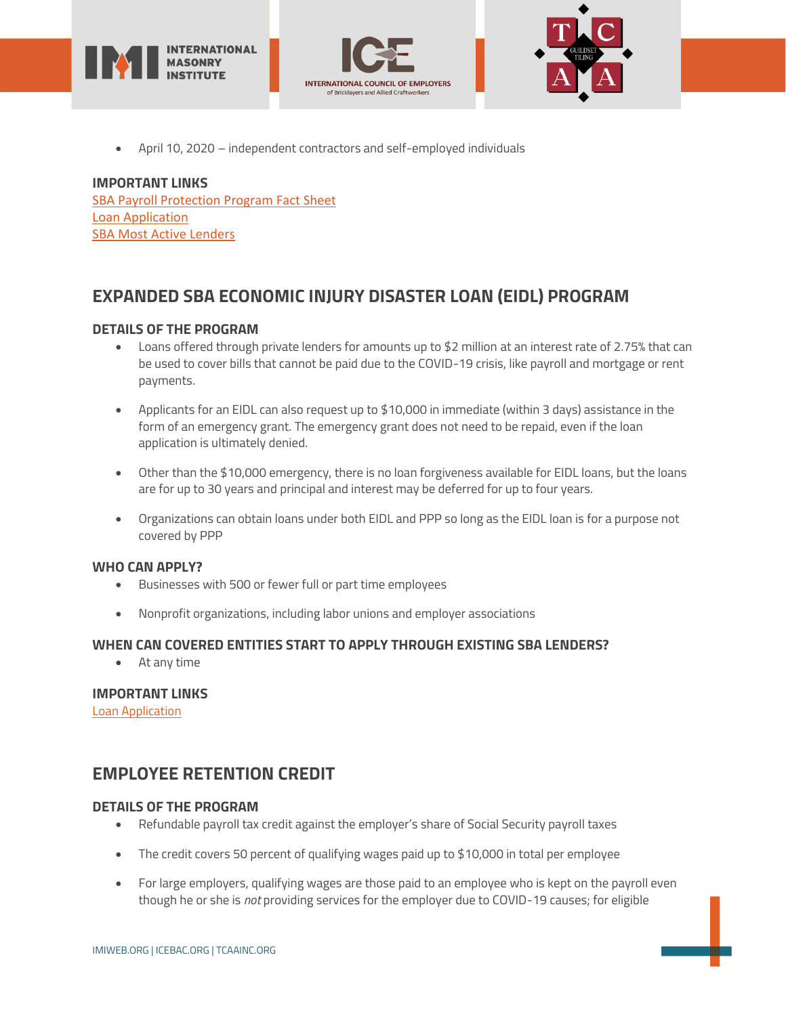





• April 10, 2020 – independent contractors and self-employed individuals

# **IMPORTANT LINKS**

[SBA Payroll Protection Program Fact Sheet](https://home.treasury.gov/system/files/136/PPP--Fact-Sheet.pdf) [Loan Application](https://home.treasury.gov/system/files/136/Paycheck-Protection-Program-Application-3-30-2020-v3.pdf) [SBA Most Active Lenders](https://www.sba.gov/article/2020/mar/02/100-most-active-sba-7a-lenders)

# **EXPANDED SBA ECONOMIC INJURY DISASTER LOAN (EIDL) PROGRAM**

## **DETAILS OF THE PROGRAM**

- Loans offered through private lenders for amounts up to \$2 million at an interest rate of 2.75% that can be used to cover bills that cannot be paid due to the COVID-19 crisis, like payroll and mortgage or rent payments.
- Applicants for an EIDL can also request up to \$10,000 in immediate (within 3 days) assistance in the form of an emergency grant. The emergency grant does not need to be repaid, even if the loan application is ultimately denied.
- Other than the \$10,000 emergency, there is no loan forgiveness available for EIDL loans, but the loans are for up to 30 years and principal and interest may be deferred for up to four years.
- Organizations can obtain loans under both EIDL and PPP so long as the EIDL loan is for a purpose not covered by PPP

## **WHO CAN APPLY?**

- Businesses with 500 or fewer full or part time employees
- Nonprofit organizations, including labor unions and employer associations

## **WHEN CAN COVERED ENTITIES START TO APPLY THROUGH EXISTING SBA LENDERS?**

• At any time

# **IMPORTANT LINKS**

[Loan Application](https://www.sba.gov/funding-programs/disaster-assistance)

# **EMPLOYEE RETENTION CREDIT**

## **DETAILS OF THE PROGRAM**

- Refundable payroll tax credit against the employer's share of Social Security payroll taxes
- The credit covers 50 percent of qualifying wages paid up to \$10,000 in total per employee
- For large employers, qualifying wages are those paid to an employee who is kept on the payroll even though he or she is *not* providing services for the employer due to COVID-19 causes; for eligible